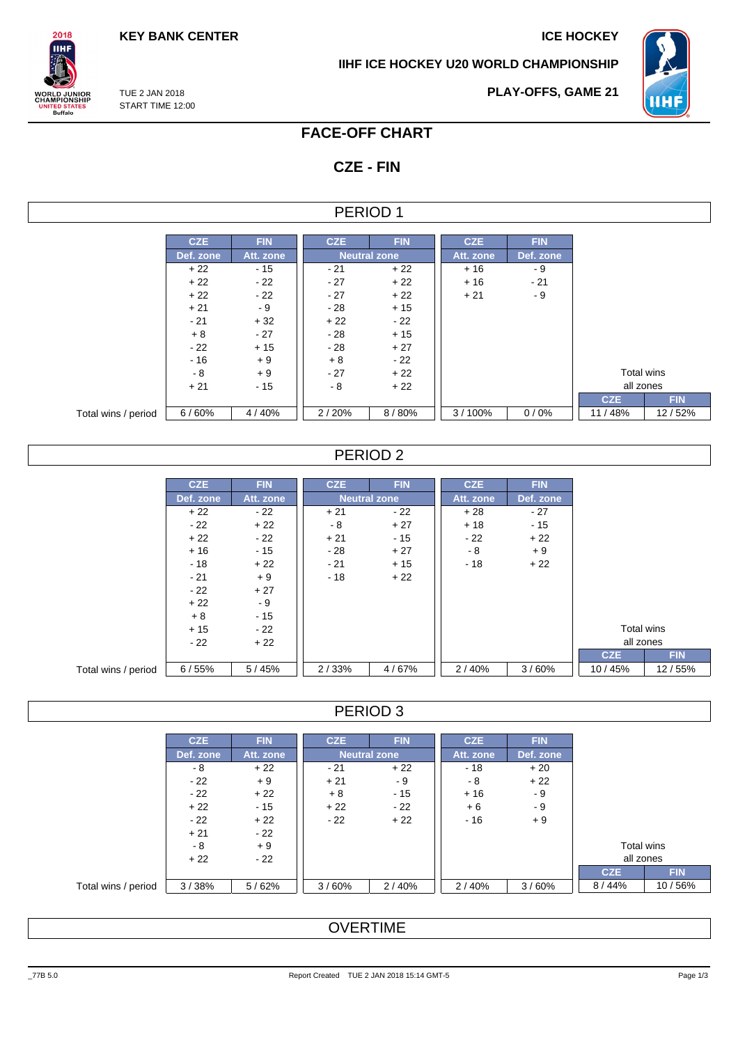$2018$ **IIHF** 

**VORLD JUNIOR<br>CHAMPIONSHIP<br>UNITED STATES<br>Buffalo** 

**IIHF ICE HOCKEY U20 WORLD CHAMPIONSHIP**



TUE 2 JAN 2018 START TIME 12:00

## **FACE-OFF CHART**

# **CZE - FIN**

## PERIOD 1

|                     | <b>CZE</b> | <b>FIN</b> | <b>CZE</b> | <b>FIN</b>          | <b>CZE</b> | <b>FIN</b> |
|---------------------|------------|------------|------------|---------------------|------------|------------|
|                     |            |            |            |                     |            |            |
|                     | Def. zone  | Att. zone  |            | <b>Neutral zone</b> | Att. zone  | Def. zone  |
|                     | $+22$      | $-15$      | $-21$      | $+22$               | $+16$      | - 9        |
|                     | $+22$      | $-22$      | $-27$      | $+22$               | $+16$      | $-21$      |
|                     | $+22$      | $-22$      | $-27$      | $+22$               | $+21$      | $-9$       |
|                     | $+21$      | - 9        | $-28$      | $+15$               |            |            |
|                     | $-21$      | $+32$      | $+22$      | $-22$               |            |            |
|                     | $+8$       | $-27$      | $-28$      | $+15$               |            |            |
|                     | $-22$      | $+15$      | $-28$      | $+27$               |            |            |
|                     | $-16$      | $+9$       | $+8$       | - 22                |            |            |
|                     | - 8        | $+9$       | $-27$      | $+22$               |            |            |
|                     | $+21$      | $-15$      | - 8        | $+22$               |            |            |
|                     |            |            |            |                     |            |            |
| Total wins / period | 6/60%      | 4/40%      | 2/20%      | 8/80%               | 3/100%     | 0/0%       |

## PERIOD 2

|                     | <b>CZE</b> | <b>FIN</b> | <b>CZE</b> | <b>FIN</b>          | <b>CZE</b> | <b>FIN</b> |            |        |
|---------------------|------------|------------|------------|---------------------|------------|------------|------------|--------|
|                     | Def. zone  | Att. zone  |            | <b>Neutral zone</b> |            | Def. zone  |            |        |
|                     | $+22$      | $-22$      | $+21$      | $-22$               | $+28$      | $-27$      |            |        |
|                     | $-22$      | $+22$      | $-8$       | $+27$               | $+18$      | $-15$      |            |        |
|                     | $+22$      | $-22$      | $+21$      | $-15$               | $-22$      | $+22$      |            |        |
|                     | $+16$      | $-15$      | - 28       | $+27$               | - 8        | $+9$       |            |        |
|                     | $-18$      | $+22$      | $-21$      | $+15$               | $-18$      | $+22$      |            |        |
|                     | $-21$      | $+9$       | $-18$      | $+22$               |            |            |            |        |
|                     | $-22$      | $+27$      |            |                     |            |            |            |        |
|                     | $+22$      | - 9        |            |                     |            |            |            |        |
|                     | $+8$       | $-15$      |            |                     |            |            |            |        |
|                     | $+15$      | $-22$      |            |                     |            |            | Total wins |        |
|                     | $-22$      | $+22$      |            |                     |            |            | all zones  |        |
|                     |            |            |            |                     |            |            | <b>CZE</b> |        |
| Total wins / period | 6/55%      | 5/45%      | 2/33%      | 4/67%               | 2/40%      | 3/60%      | 10/45%     | 12/55% |

### PERIOD 3

|                     | <b>CZE</b> | <b>FIN</b> | <b>CZE</b> | <b>FIN</b>          | <b>CZE</b> | <b>FIN</b> |            |
|---------------------|------------|------------|------------|---------------------|------------|------------|------------|
|                     | Def. zone  | Att. zone  |            | <b>Neutral zone</b> | Att. zone  | Def. zone  |            |
|                     | - 8        | $+22$      | $-21$      | $+22$               | $-18$      | $+20$      |            |
|                     | $-22$      | $+9$       | $+21$      | - 9                 | - 8        | $+22$      |            |
|                     | $-22$      | $+22$      | $+8$       | $-15$               | $+16$      | - 9        |            |
|                     | $+22$      | - 15       | $+22$      | $-22$               | $+6$       | - 9        |            |
|                     | $-22$      | $+22$      | $-22$      | $+22$               | $-16$      | $+9$       |            |
|                     | $+21$      | $-22$      |            |                     |            |            |            |
|                     | - 8        | $+9$       |            |                     |            |            |            |
|                     | $+22$      | $-22$      |            |                     |            |            |            |
|                     |            |            |            |                     |            |            | <b>CZE</b> |
| Total wins / period | 3/38%      | 5/62%      | 3/60%      | 2/40%               | 2/40%      | 3/60%      | 8/44%      |

# **OVERTIME**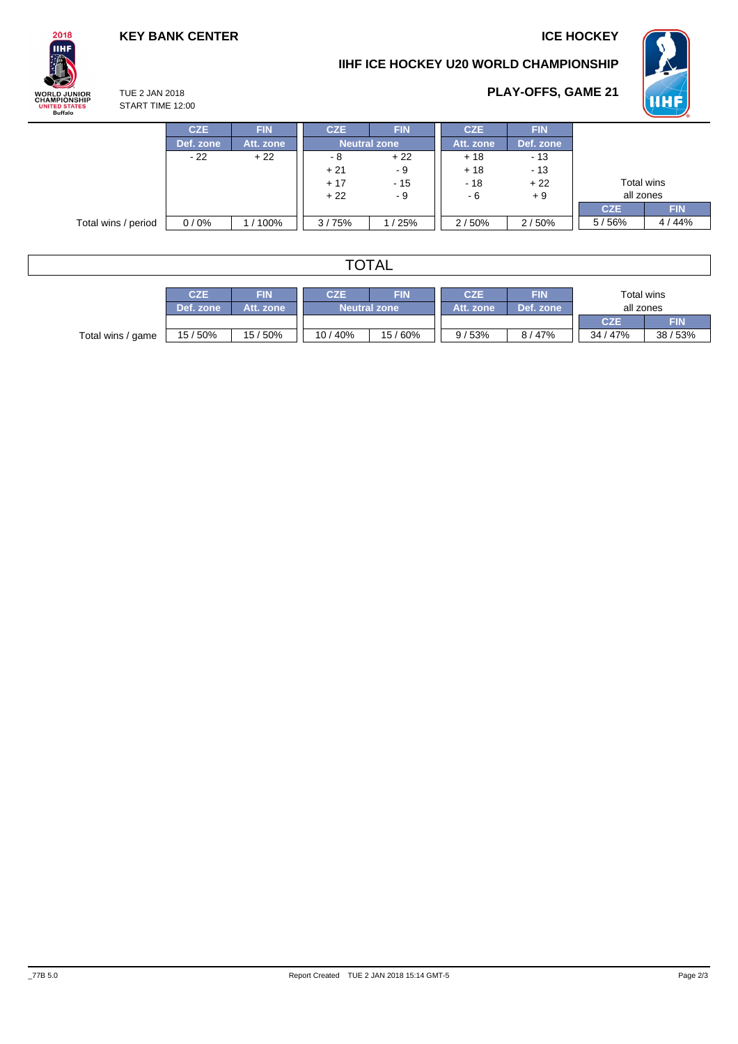**WHE** 

**PLAY-OFFS, GAME 21**

## **KEY BANK CENTER ICE HOCKEY**





#### TUE 2 JAN 2018 START TIME 12:00

|                     | <b>CZE</b> | <b>FIN</b> | CZE.                             | <b>FIN</b> | <b>CZE</b> | <b>FIN</b> |            |            |
|---------------------|------------|------------|----------------------------------|------------|------------|------------|------------|------------|
|                     | Def. zone  | Att. zone  | <b>Neutral zone</b>              |            | Att. zone  | Def. zone  |            |            |
|                     | $-22$      | $+22$      | - 8                              | $+22$      | $+18$      | $-13$      |            |            |
|                     |            |            | $+21$                            | - 9        | $+18$      | $-13$      |            |            |
|                     |            |            | $+17$<br>$-18$<br>$+22$<br>$-15$ |            |            | Total wins |            |            |
|                     |            |            | $+22$<br>- 9                     |            | - 6        | $+9$       | all zones  |            |
|                     |            |            |                                  |            |            |            | <b>CZE</b> | <b>FIN</b> |
| Total wins / period | 0/0%       | / 100%     | 3/75%                            | /25%       | 2/50%      | 2/50%      | 5/56%      | 4 / 44%    |

# TOTAL

|                   | CZE       | FIN       | <b>FIN</b><br>CZE   |        | <b>CZE</b> | <b>FIN</b> | Total wins |        |
|-------------------|-----------|-----------|---------------------|--------|------------|------------|------------|--------|
|                   | Def. zone | Att. zone | <b>Neutral zone</b> |        | Att. zone  | Def. zone  | all zones  |        |
|                   |           |           |                     |        |            |            | <b>CZE</b> | FIN    |
| Total wins / game | 15/50%    | 15/50%    | 10/40%              | 15/60% | 9/53%      | 8 / 47%    | 34 / 47%   | 38/53% |